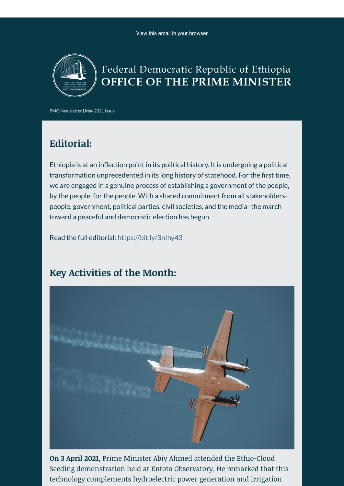

# Federal Democratic Republic of Ethiopia OFFICE OF THE PRIME MINISTER

PMO Newsletter | May 2021 Issue

### **Editorial:**

Ethiopia is at an inflection point in its political history. It is undergoing a political transformation unprecedented in its long history of statehood. For the first time, we are engaged in a genuine process of establishing a government of the people, by the people, for the people. With a shared commitment from all stakeholderspeople, government, political parties, civil societies, and the media- the march toward a peaceful and democratic election has begun.

Read the full editorial: <https://bit.ly/3nIhy43>

### **Key Activities of the Month:**



**On 3 April 2021,** Prime Minister Abiy Ahmed attended the Ethio-Cloud Seeding demonstration held at Entoto Observatory. He remarked that this technology complements hydroelectric power generation and irrigation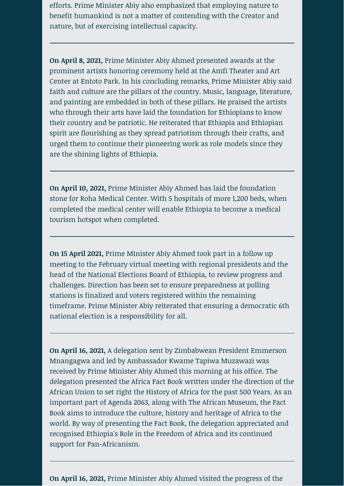efforts. Prime Minister Abiy also emphasized that employing nature to benefit humankind is not a matter of contending with the Creator and nature, but of exercising intellectual capacity.

**On April 8, 2021,** Prime Minister Abiy Ahmed presented awards at the prominent artists honoring ceremony held at the Amfi Theater and Art Center at Entoto Park. In his concluding remarks, Prime Minister Abiy said faith and culture are the pillars of the country. Music, language, literature, and painting are embedded in both of these pillars. He praised the artists who through their arts have laid the foundation for Ethiopians to know their country and be patriotic. He reiterated that Ethiopia and Ethiopian spirit are flourishing as they spread patriotism through their crafts, and urged them to continue their pioneering work as role models since they are the shining lights of Ethiopia.

**On April 10, 2021,** Prime Minister Abiy Ahmed has laid the foundation stone for Roha Medical Center. With 5 hospitals of more 1,200 beds, when completed the medical center will enable Ethiopia to become a medical tourism hotspot when completed.

**On 15 April 2021,** Prime Minister Abiy Ahmed took part in a follow up meeting to the February virtual meeting with regional presidents and the head of the National Elections Board of Ethiopia, to review progress and challenges. Direction has been set to ensure preparedness at polling stations is finalized and voters registered within the remaining timeframe. Prime Minister Abiy reiterated that ensuring a democratic 6th national election is a responsibility for all.

**On April 16, 2021,** A delegation sent by Zimbabwean President Emmerson Mnangagwa and led by Ambassador Kwame Tapiwa Muzawazi was received by Prime Minister Abiy Ahmed this morning at his office. The delegation presented the Africa Fact Book written under the direction of the African Union to set right the History of Africa for the past 500 Years. As an important part of Agenda 2063, along with The African Museum, the Fact Book aims to introduce the culture, history and heritage of Africa to the world. By way of presenting the Fact Book, the delegation appreciated and recognised Ethiopia's Role in the Freedom of Africa and its continued support for Pan-Africanism.

**On April 16, 2021,** Prime Minister Abiy Ahmed visited the progress of the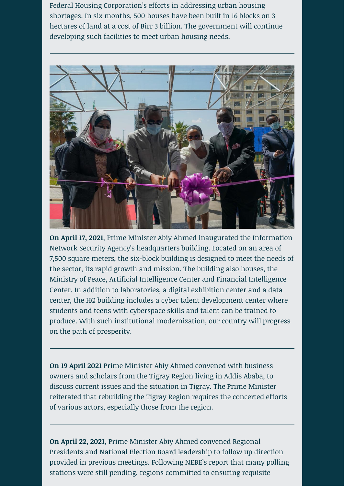Federal Housing Corporation's efforts in addressing urban housing shortages. In six months, 500 houses have been built in 16 blocks on 3 hectares of land at a cost of Birr 3 billion. The government will continue developing such facilities to meet urban housing needs.



**On April 17, 2021**, Prime Minister Abiy Ahmed inaugurated the Information Network Security Agency's headquarters building. Located on an area of 7,500 square meters, the six-block building is designed to meet the needs of the sector, its rapid growth and mission. The building also houses, the Ministry of Peace, Artificial Intelligence Center and Financial Intelligence Center. In addition to laboratories, a digital exhibition center and a data center, the HQ building includes a cyber talent development center where students and teens with cyberspace skills and talent can be trained to produce. With such institutional modernization, our country will progress on the path of prosperity.

**On 19 April 2021** Prime Minister Abiy Ahmed convened with business owners and scholars from the Tigray Region living in Addis Ababa, to discuss current issues and the situation in Tigray. The Prime Minister reiterated that rebuilding the Tigray Region requires the concerted efforts of various actors, especially those from the region.

**On April 22, 2021,** Prime Minister Abiy Ahmed convened Regional Presidents and National Election Board leadership to follow up direction provided in previous meetings. Following NEBE's report that many polling stations were still pending, regions committed to ensuring requisite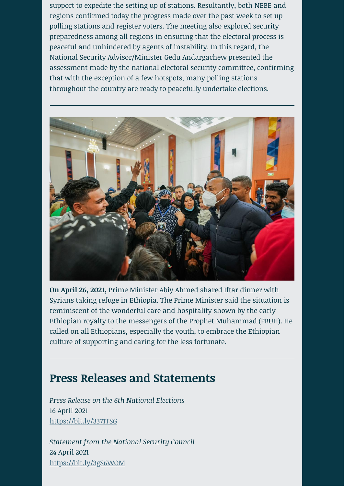support to expedite the setting up of stations. Resultantly, both NEBE and regions confirmed today the progress made over the past week to set up polling stations and register voters. The meeting also explored security preparedness among all regions in ensuring that the electoral process is peaceful and unhindered by agents of instability. In this regard, the National Security Advisor/Minister Gedu Andargachew presented the assessment made by the national electoral security committee, confirming that with the exception of a few hotspots, many polling stations throughout the country are ready to peacefully undertake elections.



**On April 26, 2021,** Prime Minister Abiy Ahmed shared Iftar dinner with Syrians taking refuge in Ethiopia. The Prime Minister said the situation is reminiscent of the wonderful care and hospitality shown by the early Ethiopian royalty to the messengers of the Prophet Muhammad (PBUH). He called on all Ethiopians, especially the youth, to embrace the Ethiopian culture of supporting and caring for the less fortunate.

## **Press Releases and Statements**

*Press Release on the 6th National Elections*  16 April 2021 <https://bit.ly/3371TSG>

*Statement from the National Security Council* 24 April 2021 <https://bit.ly/3gS6WOM>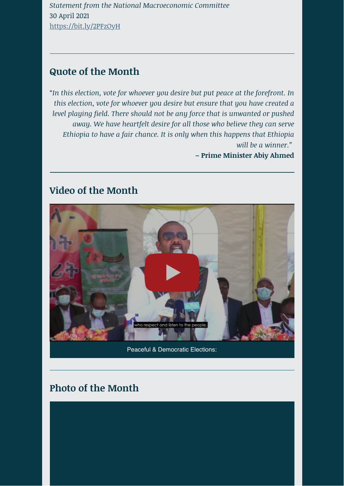*Statement from the National Macroeconomic Committee* 30 April 2021 <https://bit.ly/2PFzOyH>

#### **Quote of the Month**

"*In this election, vote for whoever you desire but put peace at the forefront. In this election, vote for whoever you desire but ensure that you have created a level playing field. There should not be any force that is unwanted or pushed away. We have heartfelt desire for all those who believe they can serve Ethiopia to have a fair chance. It is only when this happens that Ethiopia will be a winner."* 

**– Prime Minister Abiy Ahmed**

### **Video of the Month**



Peaceful & Democratic Elections:

## **Photo of the Month**